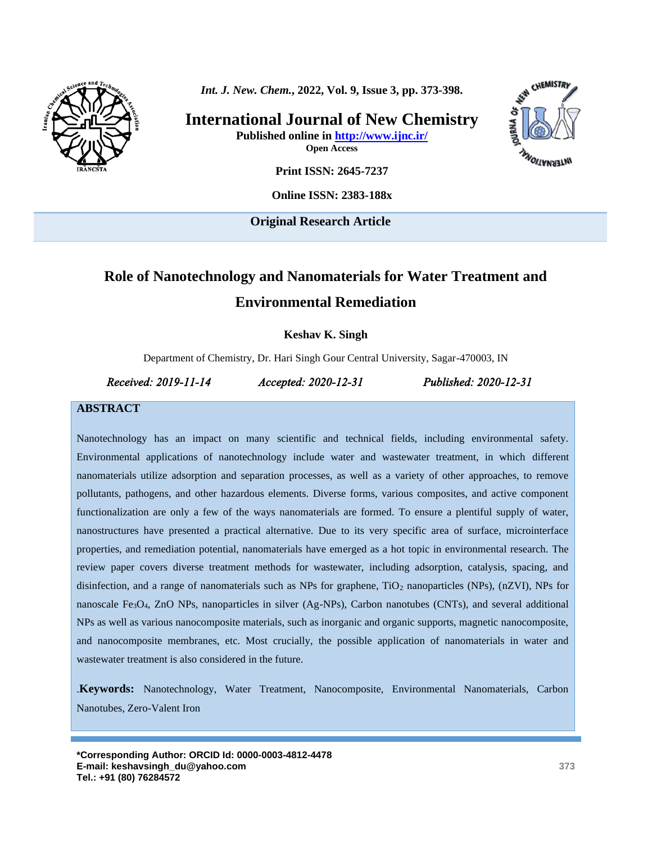

*Int. J. New. Chem.***, 2022, Vol. 9, Issue 3, pp. 373-398.**

**International Journal of New Chemistry Published online in<http://www.ijnc.ir/> Open Access**



**Print ISSN: 2645-7237**

**Online ISSN: 2383-188x**

**Original Research Article** 

# **Role of Nanotechnology and Nanomaterials for Water Treatment and Environmental Remediation**

**Keshav K. Singh**

Department of Chemistry, Dr. Hari Singh Gour Central University, Sagar-470003, IN

*Received: 2019-11-14 Accepted: 2020-12-31 Published: 2020-12-31* 

#### **ABSTRACT**

Nanotechnology has an impact on many scientific and technical fields, including environmental safety. Environmental applications of nanotechnology include water and wastewater treatment, in which different nanomaterials utilize adsorption and separation processes, as well as a variety of other approaches, to remove pollutants, pathogens, and other hazardous elements. Diverse forms, various composites, and active component functionalization are only a few of the ways nanomaterials are formed. To ensure a plentiful supply of water, nanostructures have presented a practical alternative. Due to its very specific area of surface, microinterface properties, and remediation potential, nanomaterials have emerged as a hot topic in environmental research. The review paper covers diverse treatment methods for wastewater, including adsorption, catalysis, spacing, and disinfection, and a range of nanomaterials such as NPs for graphene,  $TiO<sub>2</sub>$  nanoparticles (NPs), (nZVI), NPs for nanoscale  $Fe<sub>3</sub>O<sub>4</sub>$ , ZnO NPs, nanoparticles in silver (Ag-NPs), Carbon nanotubes (CNTs), and several additional NPs as well as various nanocomposite materials, such as inorganic and organic supports, magnetic nanocomposite, and nanocomposite membranes, etc. Most crucially, the possible application of nanomaterials in water and wastewater treatment is also considered in the future.

.**Keywords:** Nanotechnology, Water Treatment, Nanocomposite, Environmental Nanomaterials, Carbon Nanotubes, Zero-Valent Iron

**\*Corresponding Author: ORCID Id[: 0000-0003-4812-4478](https://www.orcid.org/0000-0003-4812-4478) E-mail: keshavsingh\_du@yahoo.com Tel.: +91 (80) 76284572**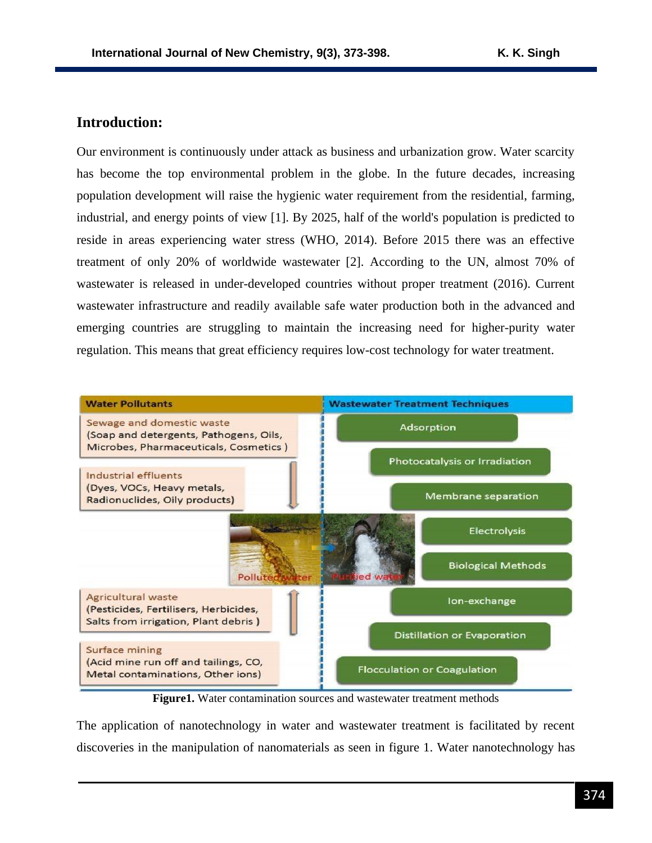### **Introduction:**

Our environment is continuously under attack as business and urbanization grow. Water scarcity has become the top environmental problem in the globe. In the future decades, increasing population development will raise the hygienic water requirement from the residential, farming, industrial, and energy points of view [1]. By 2025, half of the world's population is predicted to reside in areas experiencing water stress (WHO, 2014). Before 2015 there was an effective treatment of only 20% of worldwide wastewater [2]. According to the UN, almost 70% of wastewater is released in under-developed countries without proper treatment (2016). Current wastewater infrastructure and readily available safe water production both in the advanced and emerging countries are struggling to maintain the increasing need for higher-purity water regulation. This means that great efficiency requires low-cost technology for water treatment.



**Figure1.** Water contamination sources and wastewater treatment methods

The application of nanotechnology in water and wastewater treatment is facilitated by recent discoveries in the manipulation of nanomaterials as seen in figure 1. Water nanotechnology has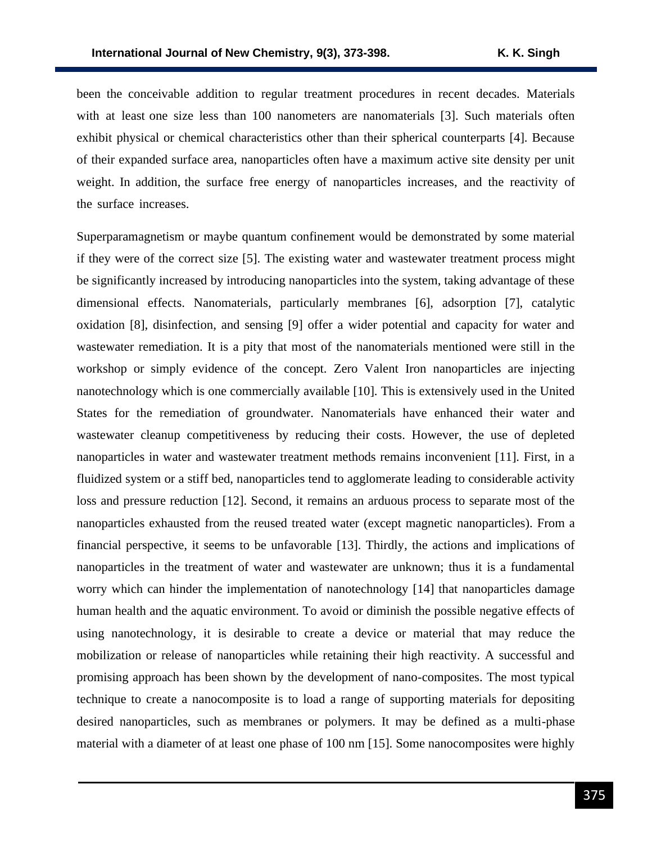been the conceivable addition to regular treatment procedures in recent decades. Materials with at least one size less than 100 nanometers are nanomaterials [3]. Such materials often exhibit physical or chemical characteristics other than their spherical counterparts [4]. Because of their expanded surface area, nanoparticles often have a maximum active site density per unit weight. In addition, the surface free energy of nanoparticles increases, and the reactivity of the surface increases.

Superparamagnetism or maybe quantum confinement would be demonstrated by some material if they were of the correct size [5]. The existing water and wastewater treatment process might be significantly increased by introducing nanoparticles into the system, taking advantage of these dimensional effects. Nanomaterials, particularly membranes [6], adsorption [7], catalytic oxidation [8], disinfection, and sensing [9] offer a wider potential and capacity for water and wastewater remediation. It is a pity that most of the nanomaterials mentioned were still in the workshop or simply evidence of the concept. Zero Valent Iron nanoparticles are injecting nanotechnology which is one commercially available [10]. This is extensively used in the United States for the remediation of groundwater. Nanomaterials have enhanced their water and wastewater cleanup competitiveness by reducing their costs. However, the use of depleted nanoparticles in water and wastewater treatment methods remains inconvenient [11]. First, in a fluidized system or a stiff bed, nanoparticles tend to agglomerate leading to considerable activity loss and pressure reduction [12]. Second, it remains an arduous process to separate most of the nanoparticles exhausted from the reused treated water (except magnetic nanoparticles). From a financial perspective, it seems to be unfavorable [13]. Thirdly, the actions and implications of nanoparticles in the treatment of water and wastewater are unknown; thus it is a fundamental worry which can hinder the implementation of nanotechnology [14] that nanoparticles damage human health and the aquatic environment. To avoid or diminish the possible negative effects of using nanotechnology, it is desirable to create a device or material that may reduce the mobilization or release of nanoparticles while retaining their high reactivity. A successful and promising approach has been shown by the development of nano-composites. The most typical technique to create a nanocomposite is to load a range of supporting materials for depositing desired nanoparticles, such as membranes or polymers. It may be defined as a multi-phase material with a diameter of at least one phase of 100 nm [15]. Some nanocomposites were highly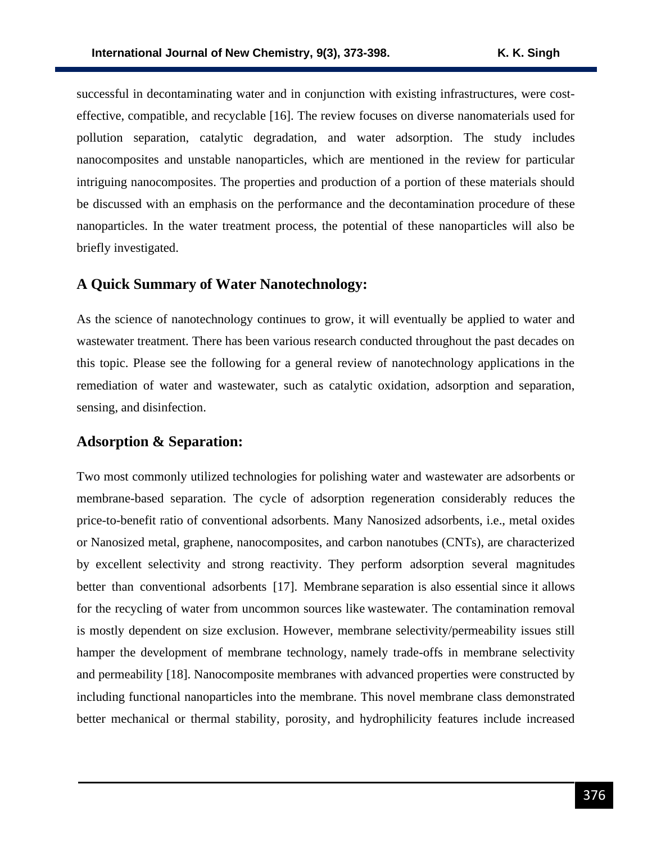successful in decontaminating water and in conjunction with existing infrastructures, were costeffective, compatible, and recyclable [16]. The review focuses on diverse nanomaterials used for pollution separation, catalytic degradation, and water adsorption. The study includes nanocomposites and unstable nanoparticles, which are mentioned in the review for particular intriguing nanocomposites. The properties and production of a portion of these materials should be discussed with an emphasis on the performance and the decontamination procedure of these nanoparticles. In the water treatment process, the potential of these nanoparticles will also be briefly investigated.

### **A Quick Summary of Water Nanotechnology:**

As the science of nanotechnology continues to grow, it will eventually be applied to water and wastewater treatment. There has been various research conducted throughout the past decades on this topic. Please see the following for a general review of nanotechnology applications in the remediation of water and wastewater, such as catalytic oxidation, adsorption and separation, sensing, and disinfection.

### **Adsorption & Separation:**

Two most commonly utilized technologies for polishing water and wastewater are adsorbents or membrane-based separation. The cycle of adsorption regeneration considerably reduces the price-to-benefit ratio of conventional adsorbents. Many Nanosized adsorbents, i.e., metal oxides or Nanosized metal, graphene, nanocomposites, and carbon nanotubes (CNTs), are characterized by excellent selectivity and strong reactivity. They perform adsorption several magnitudes better than conventional adsorbents [17]. Membrane separation is also essential since it allows for the recycling of water from uncommon sources like wastewater. The contamination removal is mostly dependent on size exclusion. However, membrane selectivity/permeability issues still hamper the development of membrane technology, namely trade-offs in membrane selectivity and permeability [18]. Nanocomposite membranes with advanced properties were constructed by including functional nanoparticles into the membrane. This novel membrane class demonstrated better mechanical or thermal stability, porosity, and hydrophilicity features include increased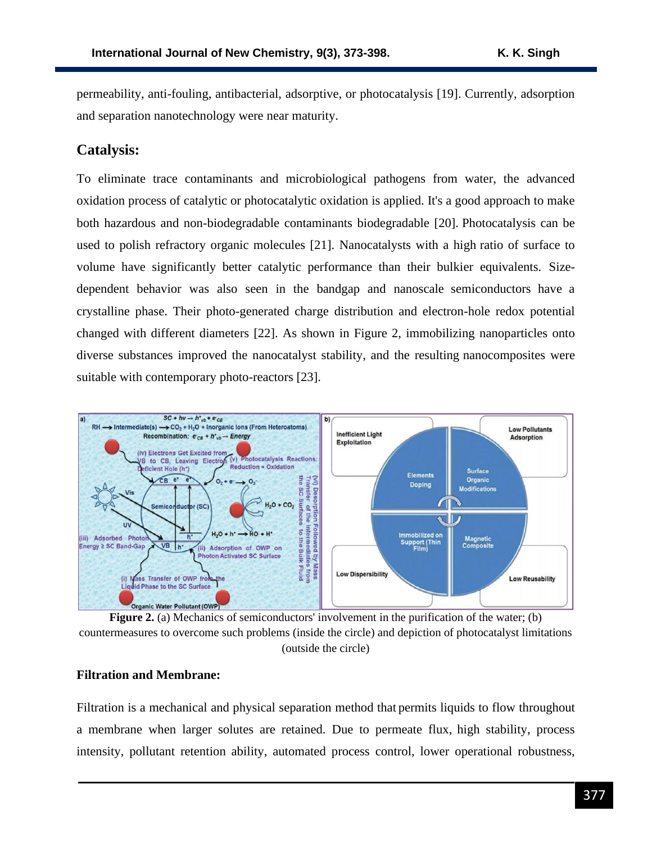permeability, anti-fouling, antibacterial, adsorptive, or photocatalysis [19]. Currently, adsorption and separation nanotechnology were near maturity.

## **Catalysis:**

To eliminate trace contaminants and microbiological pathogens from water, the advanced oxidation process of catalytic or photocatalytic oxidation is applied. It's a good approach to make both hazardous and non-biodegradable contaminants biodegradable [20]. Photocatalysis can be used to polish refractory organic molecules [21]. Nanocatalysts with a high ratio of surface to volume have significantly better catalytic performance than their bulkier equivalents. Sizedependent behavior was also seen in the bandgap and nanoscale semiconductors have a crystalline phase. Their photo-generated charge distribution and electron-hole redox potential changed with different diameters [22]. As shown in Figure 2, immobilizing nanoparticles onto diverse substances improved the nanocatalyst stability, and the resulting nanocomposites were suitable with contemporary photo-reactors [23].



**Figure 2.** (a) Mechanics of semiconductors' involvement in the purification of the water; (b) countermeasures to overcome such problems (inside the circle) and depiction of photocatalyst limitations (outside the circle)

#### **Filtration and Membrane:**

Filtration is a mechanical and physical separation method that permits liquids to flow throughout a membrane when larger solutes are retained. Due to permeate flux, high stability, process intensity, pollutant retention ability, automated process control, lower operational robustness,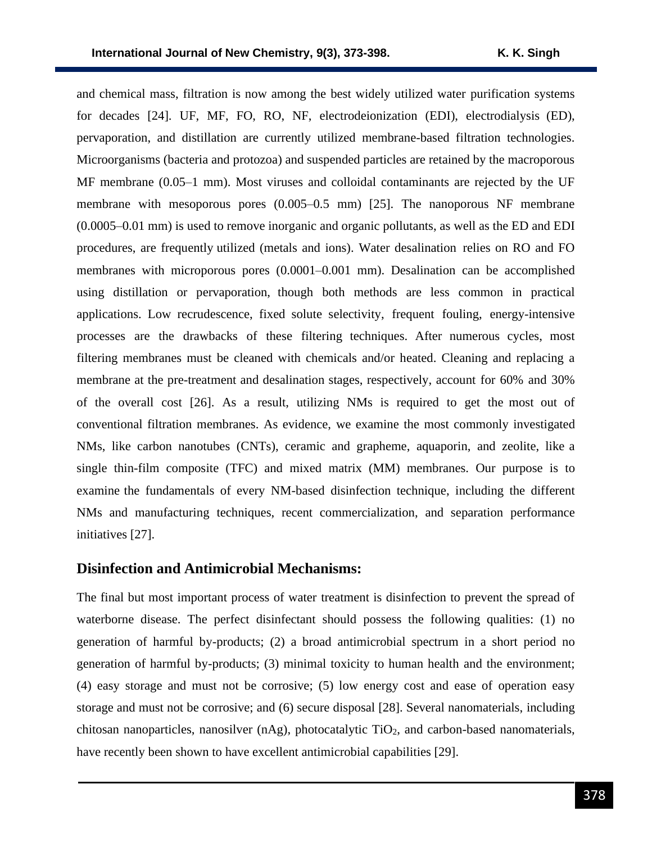and chemical mass, filtration is now among the best widely utilized water purification systems for decades [24]. UF, MF, FO, RO, NF, electrodeionization (EDI), electrodialysis (ED), pervaporation, and distillation are currently utilized membrane-based filtration technologies. Microorganisms (bacteria and protozoa) and suspended particles are retained by the macroporous MF membrane (0.05–1 mm). Most viruses and colloidal contaminants are rejected by the UF membrane with mesoporous pores (0.005–0.5 mm) [25]. The nanoporous NF membrane (0.0005–0.01 mm) is used to remove inorganic and organic pollutants, as well as the ED and EDI procedures, are frequently utilized (metals and ions). Water desalination relies on RO and FO membranes with microporous pores (0.0001–0.001 mm). Desalination can be accomplished using distillation or pervaporation, though both methods are less common in practical applications. Low recrudescence, fixed solute selectivity, frequent fouling, energy-intensive processes are the drawbacks of these filtering techniques. After numerous cycles, most filtering membranes must be cleaned with chemicals and/or heated. Cleaning and replacing a membrane at the pre-treatment and desalination stages, respectively, account for 60% and 30% of the overall cost [26]. As a result, utilizing NMs is required to get the most out of conventional filtration membranes. As evidence, we examine the most commonly investigated NMs, like carbon nanotubes (CNTs), ceramic and grapheme, aquaporin, and zeolite, like a single thin-film composite (TFC) and mixed matrix (MM) membranes. Our purpose is to examine the fundamentals of every NM-based disinfection technique, including the different NMs and manufacturing techniques, recent commercialization, and separation performance initiatives [27].

#### **Disinfection and Antimicrobial Mechanisms:**

The final but most important process of water treatment is disinfection to prevent the spread of waterborne disease. The perfect disinfectant should possess the following qualities: (1) no generation of harmful by-products; (2) a broad antimicrobial spectrum in a short period no generation of harmful by-products; (3) minimal toxicity to human health and the environment; (4) easy storage and must not be corrosive; (5) low energy cost and ease of operation easy storage and must not be corrosive; and (6) secure disposal [28]. Several nanomaterials, including chitosan nanoparticles, nanosilver  $(nAg)$ , photocatalytic TiO<sub>2</sub>, and carbon-based nanomaterials, have recently been shown to have excellent antimicrobial capabilities [29].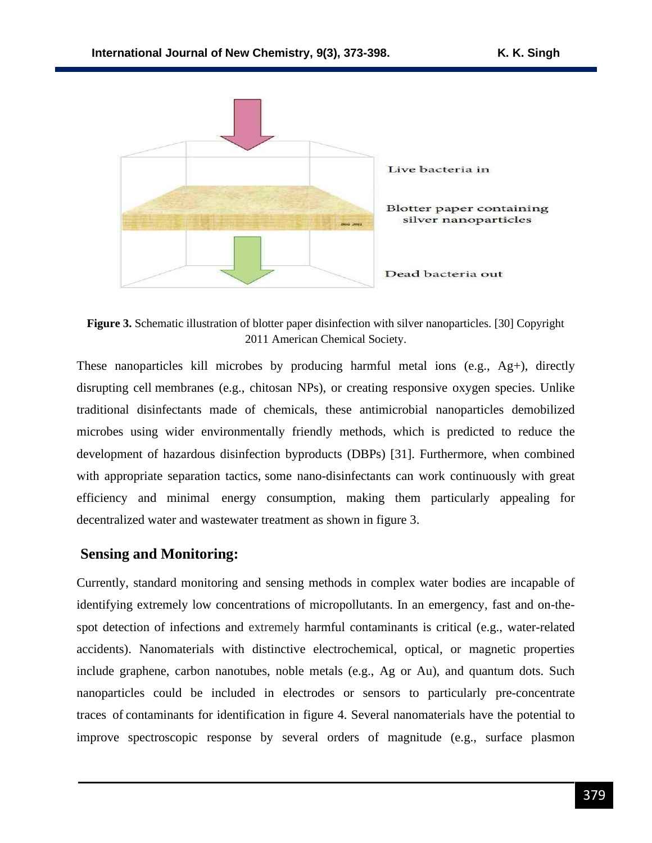

**Figure 3.** Schematic illustration of blotter paper disinfection with silver nanoparticles. [30] Copyright 2011 American Chemical Society.

These nanoparticles kill microbes by producing harmful metal ions (e.g., Ag+), directly disrupting cell membranes (e.g., chitosan NPs), or creating responsive oxygen species. Unlike traditional disinfectants made of chemicals, these antimicrobial nanoparticles demobilized microbes using wider environmentally friendly methods, which is predicted to reduce the development of hazardous disinfection byproducts (DBPs) [31]. Furthermore, when combined with appropriate separation tactics, some nano-disinfectants can work continuously with great efficiency and minimal energy consumption, making them particularly appealing for decentralized water and wastewater treatment as shown in figure 3.

### **Sensing and Monitoring:**

Currently, standard monitoring and sensing methods in complex water bodies are incapable of identifying extremely low concentrations of micropollutants. In an emergency, fast and on-thespot detection of infections and extremely harmful contaminants is critical (e.g., water-related accidents). Nanomaterials with distinctive electrochemical, optical, or magnetic properties include graphene, carbon nanotubes, noble metals (e.g., Ag or Au), and quantum dots. Such nanoparticles could be included in electrodes or sensors to particularly pre-concentrate traces of contaminants for identification in figure 4. Several nanomaterials have the potential to improve spectroscopic response by several orders of magnitude (e.g., surface plasmon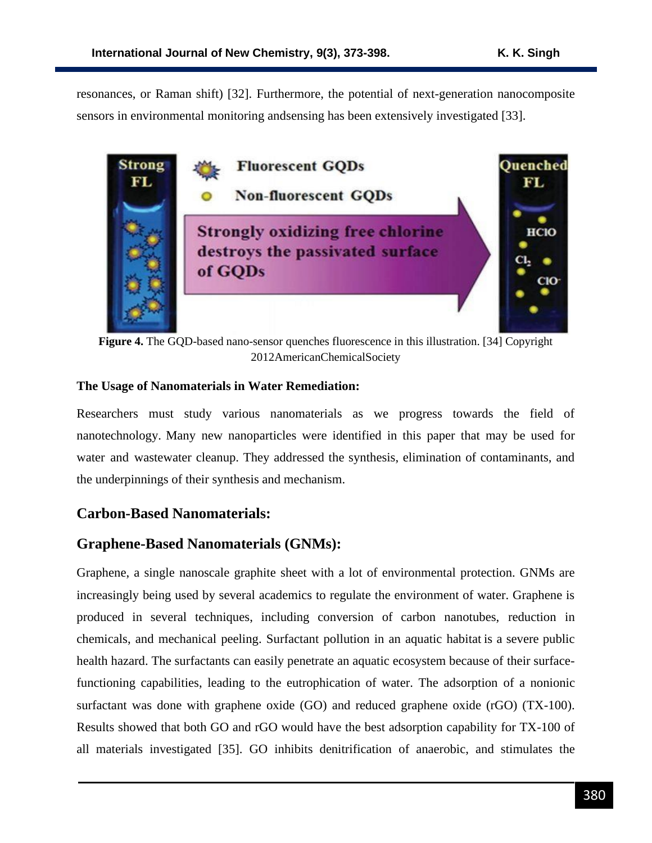resonances, or Raman shift) [32]. Furthermore, the potential of next-generation nanocomposite sensors in environmental monitoring andsensing has been extensively investigated [33].



**Figure 4.** The GQD-based nano-sensor quenches fluorescence in this illustration. [34] Copyright 2012AmericanChemicalSociety

### **The Usage of Nanomaterials in Water Remediation:**

Researchers must study various nanomaterials as we progress towards the field of nanotechnology. Many new nanoparticles were identified in this paper that may be used for water and wastewater cleanup. They addressed the synthesis, elimination of contaminants, and the underpinnings of their synthesis and mechanism.

# **Carbon-Based Nanomaterials:**

### **Graphene-Based Nanomaterials (GNMs):**

Graphene, a single nanoscale graphite sheet with a lot of environmental protection. GNMs are increasingly being used by several academics to regulate the environment of water. Graphene is produced in several techniques, including conversion of carbon nanotubes, reduction in chemicals, and mechanical peeling. Surfactant pollution in an aquatic habitat is a severe public health hazard. The surfactants can easily penetrate an aquatic ecosystem because of their surfacefunctioning capabilities, leading to the eutrophication of water. The adsorption of a nonionic surfactant was done with graphene oxide (GO) and reduced graphene oxide (rGO) (TX-100). Results showed that both GO and rGO would have the best adsorption capability for TX-100 of all materials investigated [35]. GO inhibits denitrification of anaerobic, and stimulates the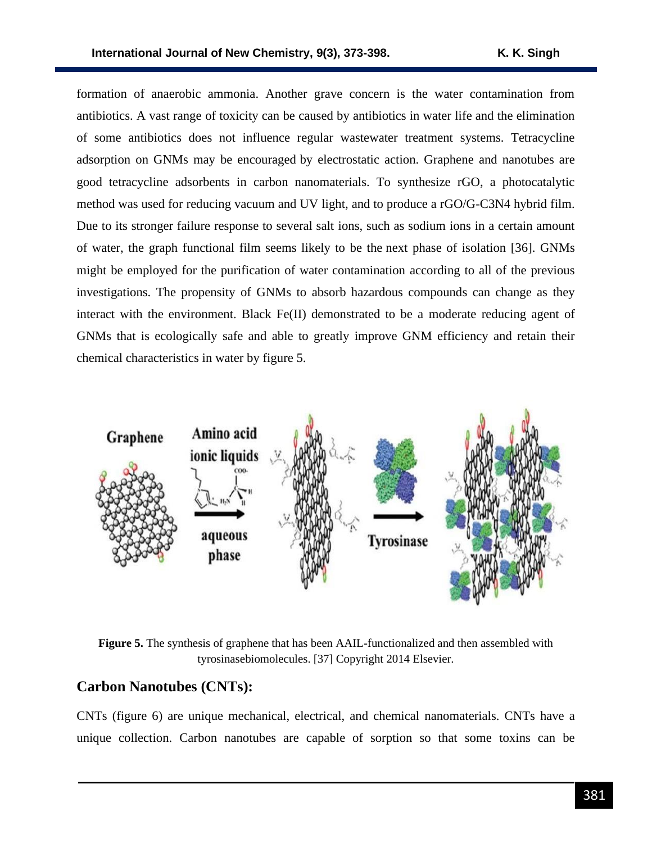formation of anaerobic ammonia. Another grave concern is the water contamination from antibiotics. A vast range of toxicity can be caused by antibiotics in water life and the elimination of some antibiotics does not influence regular wastewater treatment systems. Tetracycline adsorption on GNMs may be encouraged by electrostatic action. Graphene and nanotubes are good tetracycline adsorbents in carbon nanomaterials. To synthesize rGO, a photocatalytic method was used for reducing vacuum and UV light, and to produce a rGO/G-C3N4 hybrid film. Due to its stronger failure response to several salt ions, such as sodium ions in a certain amount of water, the graph functional film seems likely to be the next phase of isolation [36]. GNMs might be employed for the purification of water contamination according to all of the previous investigations. The propensity of GNMs to absorb hazardous compounds can change as they interact with the environment. Black Fe(II) demonstrated to be a moderate reducing agent of GNMs that is ecologically safe and able to greatly improve GNM efficiency and retain their chemical characteristics in water by figure 5.



**Figure 5.** The synthesis of graphene that has been AAIL-functionalized and then assembled with tyrosinasebiomolecules. [37] Copyright 2014 Elsevier.

### **Carbon Nanotubes (CNTs):**

CNTs (figure 6) are unique mechanical, electrical, and chemical nanomaterials. CNTs have a unique collection. Carbon nanotubes are capable of sorption so that some toxins can be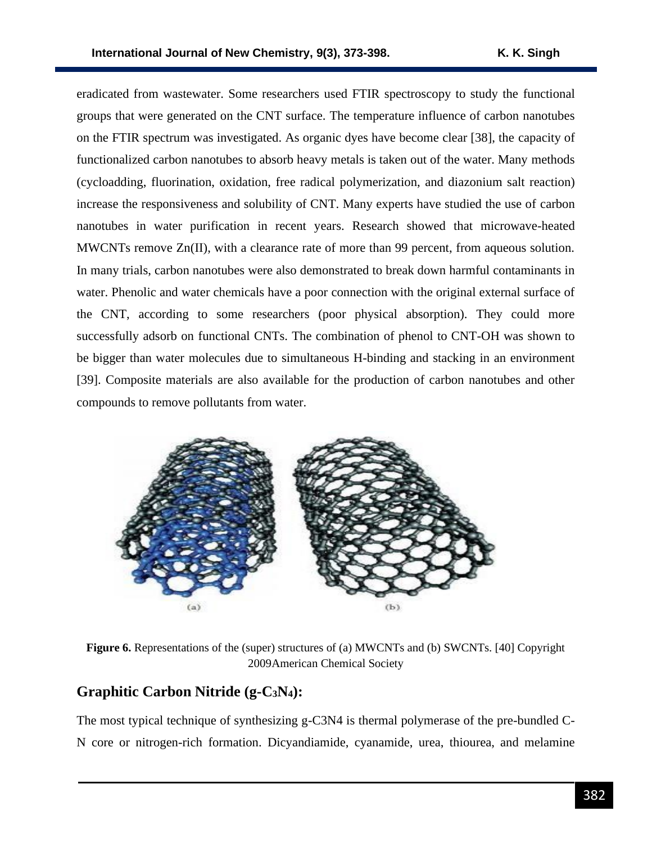eradicated from wastewater. Some researchers used FTIR spectroscopy to study the functional groups that were generated on the CNT surface. The temperature influence of carbon nanotubes on the FTIR spectrum was investigated. As organic dyes have become clear [38], the capacity of functionalized carbon nanotubes to absorb heavy metals is taken out of the water. Many methods (cycloadding, fluorination, oxidation, free radical polymerization, and diazonium salt reaction) increase the responsiveness and solubility of CNT. Many experts have studied the use of carbon nanotubes in water purification in recent years. Research showed that microwave-heated MWCNTs remove Zn(II), with a clearance rate of more than 99 percent, from aqueous solution. In many trials, carbon nanotubes were also demonstrated to break down harmful contaminants in water. Phenolic and water chemicals have a poor connection with the original external surface of the CNT, according to some researchers (poor physical absorption). They could more successfully adsorb on functional CNTs. The combination of phenol to CNT-OH was shown to be bigger than water molecules due to simultaneous H-binding and stacking in an environment [39]. Composite materials are also available for the production of carbon nanotubes and other compounds to remove pollutants from water.



**Figure 6.** Representations of the (super) structures of (a) MWCNTs and (b) SWCNTs. [40] Copyright 2009American Chemical Society

# **Graphitic Carbon Nitride (g-C3N4):**

The most typical technique of synthesizing g-C3N4 is thermal polymerase of the pre-bundled C-N core or nitrogen-rich formation. Dicyandiamide, cyanamide, urea, thiourea, and melamine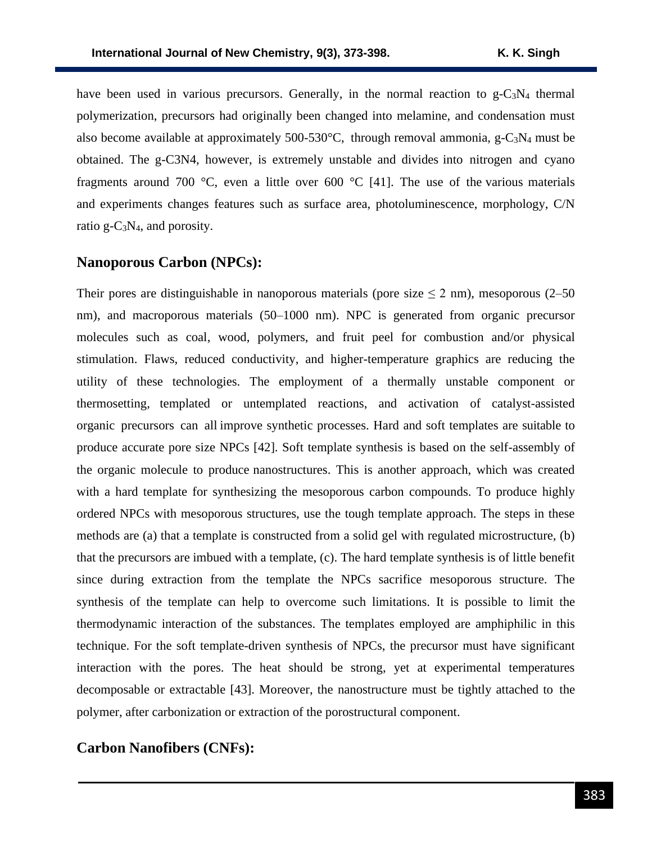have been used in various precursors. Generally, in the normal reaction to  $g-C_3N_4$  thermal polymerization, precursors had originally been changed into melamine, and condensation must also become available at approximately  $500-530^{\circ}$ C, through removal ammonia, g-C<sub>3</sub>N<sub>4</sub> must be obtained. The g-C3N4, however, is extremely unstable and divides into nitrogen and cyano fragments around 700 °C, even a little over 600 °C [41]. The use of the various materials and experiments changes features such as surface area, photoluminescence, morphology, C/N ratio  $g - C_3N_4$ , and porosity.

# **Nanoporous Carbon (NPCs):**

Their pores are distinguishable in nanoporous materials (pore size  $\leq$  2 nm), mesoporous (2–50 nm), and macroporous materials (50–1000 nm). NPC is generated from organic precursor molecules such as coal, wood, polymers, and fruit peel for combustion and/or physical stimulation. Flaws, reduced conductivity, and higher-temperature graphics are reducing the utility of these technologies. The employment of a thermally unstable component or thermosetting, templated or untemplated reactions, and activation of catalyst-assisted organic precursors can all improve synthetic processes. Hard and soft templates are suitable to produce accurate pore size NPCs [42]. Soft template synthesis is based on the self-assembly of the organic molecule to produce nanostructures. This is another approach, which was created with a hard template for synthesizing the mesoporous carbon compounds. To produce highly ordered NPCs with mesoporous structures, use the tough template approach. The steps in these methods are (a) that a template is constructed from a solid gel with regulated microstructure, (b) that the precursors are imbued with a template, (c). The hard template synthesis is of little benefit since during extraction from the template the NPCs sacrifice mesoporous structure. The synthesis of the template can help to overcome such limitations. It is possible to limit the thermodynamic interaction of the substances. The templates employed are amphiphilic in this technique. For the soft template-driven synthesis of NPCs, the precursor must have significant interaction with the pores. The heat should be strong, yet at experimental temperatures decomposable or extractable [43]. Moreover, the nanostructure must be tightly attached to the polymer, after carbonization or extraction of the porostructural component.

### **Carbon Nanofibers (CNFs):**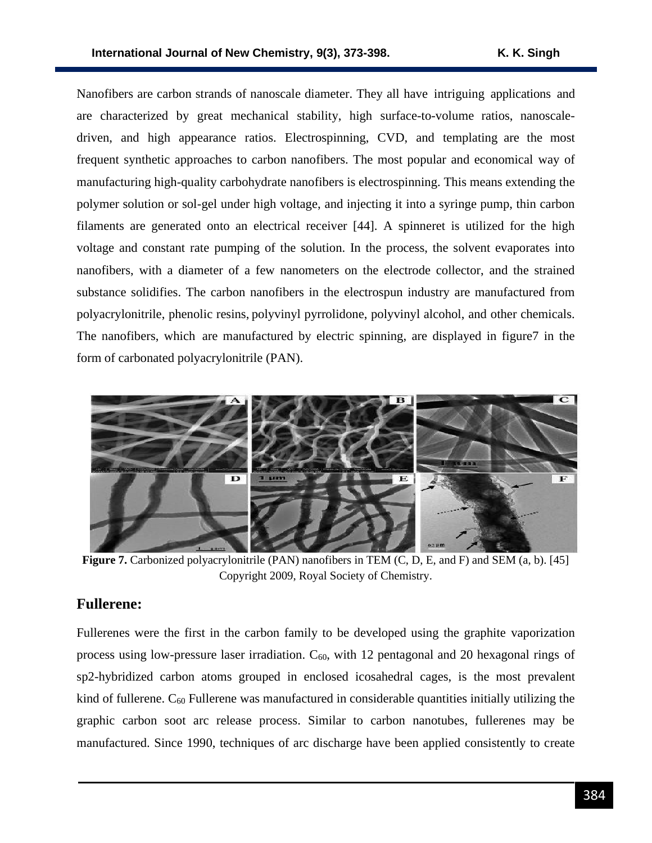Nanofibers are carbon strands of nanoscale diameter. They all have intriguing applications and are characterized by great mechanical stability, high surface-to-volume ratios, nanoscaledriven, and high appearance ratios. Electrospinning, CVD, and templating are the most frequent synthetic approaches to carbon nanofibers. The most popular and economical way of manufacturing high-quality carbohydrate nanofibers is electrospinning. This means extending the polymer solution or sol-gel under high voltage, and injecting it into a syringe pump, thin carbon filaments are generated onto an electrical receiver [44]. A spinneret is utilized for the high voltage and constant rate pumping of the solution. In the process, the solvent evaporates into nanofibers, with a diameter of a few nanometers on the electrode collector, and the strained substance solidifies. The carbon nanofibers in the electrospun industry are manufactured from polyacrylonitrile, phenolic resins, polyvinyl pyrrolidone, polyvinyl alcohol, and other chemicals. The nanofibers, which are manufactured by electric spinning, are displayed in figure7 in the form of carbonated polyacrylonitrile (PAN).



**Figure 7.** Carbonized polyacrylonitrile (PAN) nanofibers in TEM (C, D, E, and F) and SEM (a, b). [45] Copyright 2009, Royal Society of Chemistry.

### **Fullerene:**

Fullerenes were the first in the carbon family to be developed using the graphite vaporization process using low-pressure laser irradiation.  $C_{60}$ , with 12 pentagonal and 20 hexagonal rings of sp2-hybridized carbon atoms grouped in enclosed icosahedral cages, is the most prevalent kind of fullerene.  $C_{60}$  Fullerene was manufactured in considerable quantities initially utilizing the graphic carbon soot arc release process. Similar to carbon nanotubes, fullerenes may be manufactured. Since 1990, techniques of arc discharge have been applied consistently to create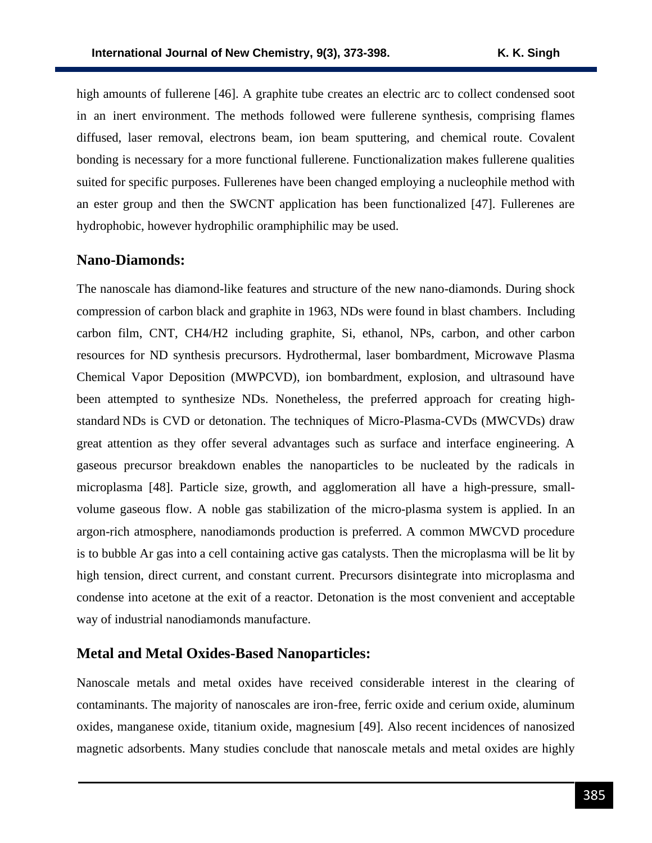high amounts of fullerene [46]. A graphite tube creates an electric arc to collect condensed soot in an inert environment. The methods followed were fullerene synthesis, comprising flames diffused, laser removal, electrons beam, ion beam sputtering, and chemical route. Covalent bonding is necessary for a more functional fullerene. Functionalization makes fullerene qualities suited for specific purposes. Fullerenes have been changed employing a nucleophile method with an ester group and then the SWCNT application has been functionalized [47]. Fullerenes are hydrophobic, however hydrophilic oramphiphilic may be used.

### **Nano-Diamonds:**

The nanoscale has diamond-like features and structure of the new nano-diamonds. During shock compression of carbon black and graphite in 1963, NDs were found in blast chambers. Including carbon film, CNT, CH4/H2 including graphite, Si, ethanol, NPs, carbon, and other carbon resources for ND synthesis precursors. Hydrothermal, laser bombardment, Microwave Plasma Chemical Vapor Deposition (MWPCVD), ion bombardment, explosion, and ultrasound have been attempted to synthesize NDs. Nonetheless, the preferred approach for creating highstandard NDs is CVD or detonation. The techniques of Micro-Plasma-CVDs (MWCVDs) draw great attention as they offer several advantages such as surface and interface engineering. A gaseous precursor breakdown enables the nanoparticles to be nucleated by the radicals in microplasma [48]. Particle size, growth, and agglomeration all have a high-pressure, smallvolume gaseous flow. A noble gas stabilization of the micro-plasma system is applied. In an argon-rich atmosphere, nanodiamonds production is preferred. A common MWCVD procedure is to bubble Ar gas into a cell containing active gas catalysts. Then the microplasma will be lit by high tension, direct current, and constant current. Precursors disintegrate into microplasma and condense into acetone at the exit of a reactor. Detonation is the most convenient and acceptable way of industrial nanodiamonds manufacture.

#### **Metal and Metal Oxides-Based Nanoparticles:**

Nanoscale metals and metal oxides have received considerable interest in the clearing of contaminants. The majority of nanoscales are iron-free, ferric oxide and cerium oxide, aluminum oxides, manganese oxide, titanium oxide, magnesium [49]. Also recent incidences of nanosized magnetic adsorbents. Many studies conclude that nanoscale metals and metal oxides are highly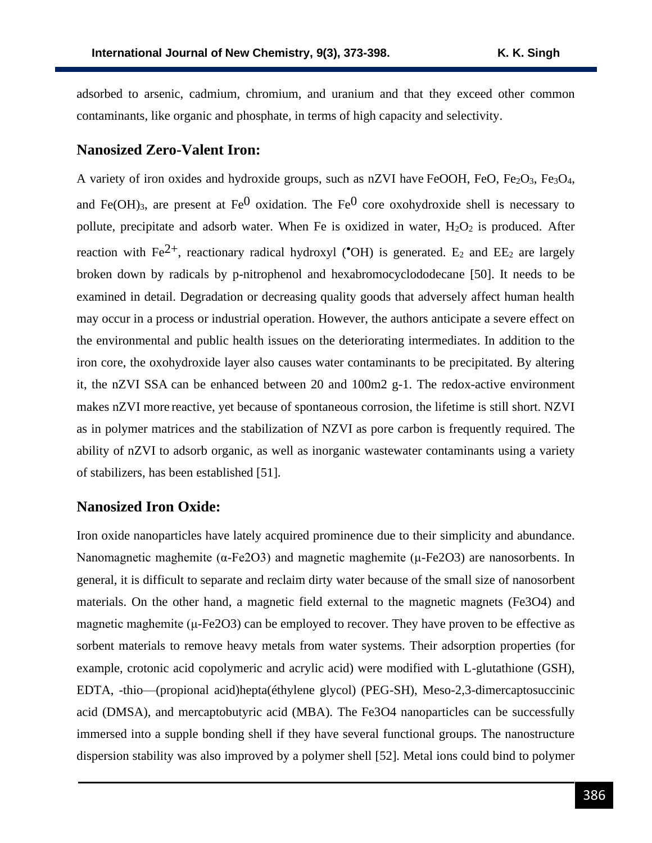adsorbed to arsenic, cadmium, chromium, and uranium and that they exceed other common contaminants, like organic and phosphate, in terms of high capacity and selectivity.

#### **Nanosized Zero-Valent Iron:**

A variety of iron oxides and hydroxide groups, such as nZVI have FeOOH, FeO, Fe2O3, Fe3O4, and Fe(OH)<sub>3</sub>, are present at Fe<sup>0</sup> oxidation. The Fe<sup>0</sup> core oxohydroxide shell is necessary to pollute, precipitate and adsorb water. When Fe is oxidized in water,  $H_2O_2$  is produced. After reaction with Fe<sup>2+</sup>, reactionary radical hydroxyl (°OH) is generated. E<sub>2</sub> and EE<sub>2</sub> are largely broken down by radicals by p-nitrophenol and hexabromocyclododecane [50]. It needs to be examined in detail. Degradation or decreasing quality goods that adversely affect human health may occur in a process or industrial operation. However, the authors anticipate a severe effect on the environmental and public health issues on the deteriorating intermediates. In addition to the iron core, the oxohydroxide layer also causes water contaminants to be precipitated. By altering it, the nZVI SSA can be enhanced between 20 and 100m2 g-1. The redox-active environment makes nZVI more reactive, yet because of spontaneous corrosion, the lifetime is still short. NZVI as in polymer matrices and the stabilization of NZVI as pore carbon is frequently required. The ability of nZVI to adsorb organic, as well as inorganic wastewater contaminants using a variety of stabilizers, has been established [51].

#### **Nanosized Iron Oxide:**

Iron oxide nanoparticles have lately acquired prominence due to their simplicity and abundance. Nanomagnetic maghemite ( $α$ -Fe2O3) and magnetic maghemite ( $μ$ -Fe2O3) are nanosorbents. In general, it is difficult to separate and reclaim dirty water because of the small size of nanosorbent materials. On the other hand, a magnetic field external to the magnetic magnets (Fe3O4) and magnetic maghemite ( $\mu$ -Fe2O3) can be employed to recover. They have proven to be effective as sorbent materials to remove heavy metals from water systems. Their adsorption properties (for example, crotonic acid copolymeric and acrylic acid) were modified with L-glutathione (GSH), EDTA, -thio—(propional acid)hepta(éthylene glycol) (PEG-SH), Meso-2,3-dimercaptosuccinic acid (DMSA), and mercaptobutyric acid (MBA). The Fe3O4 nanoparticles can be successfully immersed into a supple bonding shell if they have several functional groups. The nanostructure dispersion stability was also improved by a polymer shell [52]. Metal ions could bind to polymer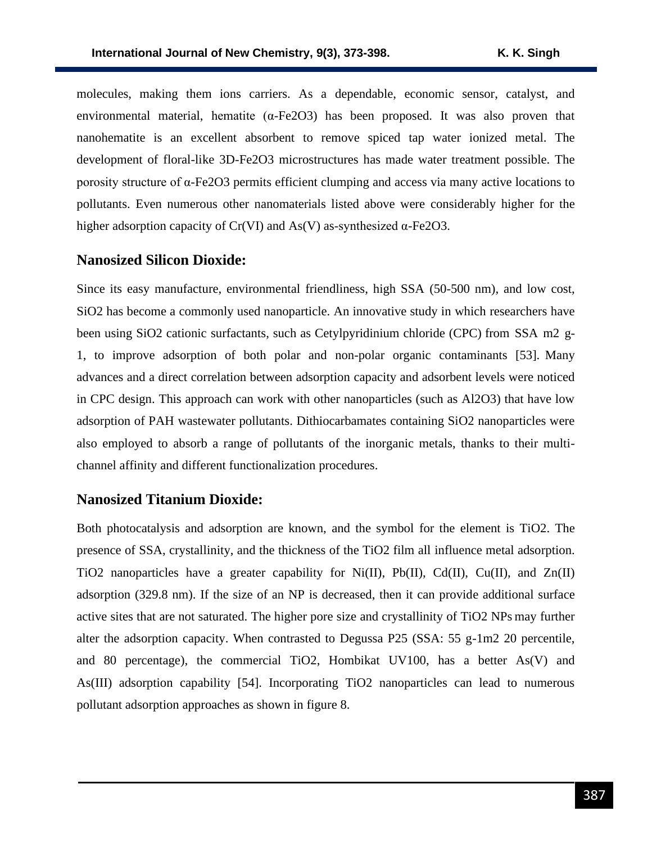molecules, making them ions carriers. As a dependable, economic sensor, catalyst, and environmental material, hematite ( $\alpha$ -Fe2O3) has been proposed. It was also proven that nanohematite is an excellent absorbent to remove spiced tap water ionized metal. The development of floral-like 3D-Fe2O3 microstructures has made water treatment possible. The porosity structure of α-Fe2O3 permits efficient clumping and access via many active locations to pollutants. Even numerous other nanomaterials listed above were considerably higher for the higher adsorption capacity of Cr(VI) and As(V) as-synthesized  $\alpha$ -Fe2O3.

#### **Nanosized Silicon Dioxide:**

Since its easy manufacture, environmental friendliness, high SSA (50-500 nm), and low cost, SiO2 has become a commonly used nanoparticle. An innovative study in which researchers have been using SiO2 cationic surfactants, such as Cetylpyridinium chloride (CPC) from SSA m2 g-1, to improve adsorption of both polar and non-polar organic contaminants [53]. Many advances and a direct correlation between adsorption capacity and adsorbent levels were noticed in CPC design. This approach can work with other nanoparticles (such as Al2O3) that have low adsorption of PAH wastewater pollutants. Dithiocarbamates containing SiO2 nanoparticles were also employed to absorb a range of pollutants of the inorganic metals, thanks to their multichannel affinity and different functionalization procedures.

### **Nanosized Titanium Dioxide:**

Both photocatalysis and adsorption are known, and the symbol for the element is TiO2. The presence of SSA, crystallinity, and the thickness of the TiO2 film all influence metal adsorption. TiO2 nanoparticles have a greater capability for Ni(II), Pb(II), Cd(II), Cu(II), and  $Zn(II)$ adsorption (329.8 nm). If the size of an NP is decreased, then it can provide additional surface active sites that are not saturated. The higher pore size and crystallinity of TiO2 NPs may further alter the adsorption capacity. When contrasted to Degussa P25 (SSA:  $55 \text{ g}$ -1m2 20 percentile, and 80 percentage), the commercial TiO2, Hombikat UV100, has a better As(V) and As(III) adsorption capability [54]. Incorporating TiO2 nanoparticles can lead to numerous pollutant adsorption approaches as shown in figure 8.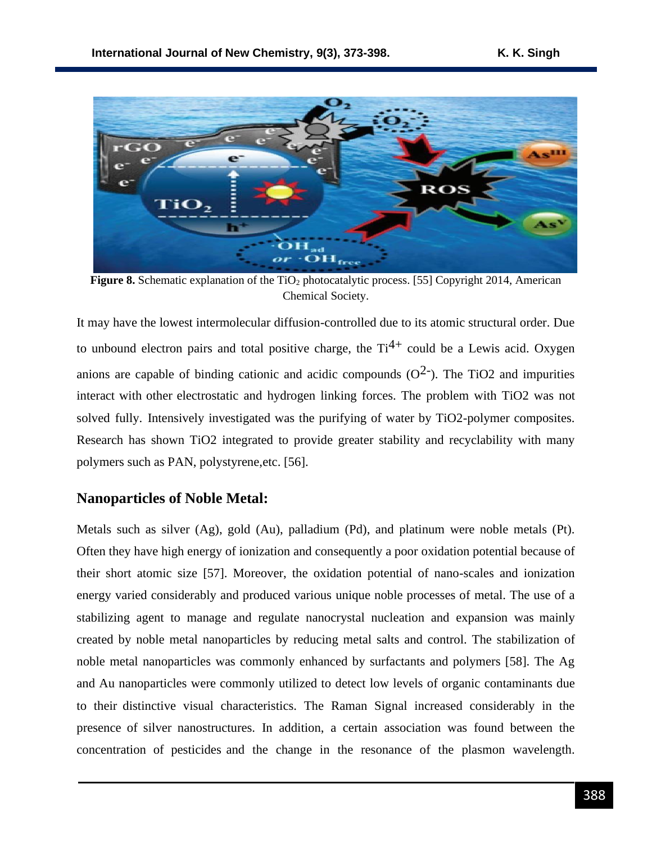

**Figure 8.** Schematic explanation of the TiO<sub>2</sub> photocatalytic process. [55] Copyright 2014, American Chemical Society.

It may have the lowest intermolecular diffusion-controlled due to its atomic structural order. Due to unbound electron pairs and total positive charge, the  $Ti^{4+}$  could be a Lewis acid. Oxygen anions are capable of binding cationic and acidic compounds  $(O<sup>2</sup>)$ . The TiO2 and impurities interact with other electrostatic and hydrogen linking forces. The problem with TiO2 was not solved fully. Intensively investigated was the purifying of water by TiO2-polymer composites. Research has shown TiO2 integrated to provide greater stability and recyclability with many polymers such as PAN, polystyrene,etc. [56].

### **Nanoparticles of Noble Metal:**

Metals such as silver (Ag), gold (Au), palladium (Pd), and platinum were noble metals (Pt). Often they have high energy of ionization and consequently a poor oxidation potential because of their short atomic size [57]. Moreover, the oxidation potential of nano-scales and ionization energy varied considerably and produced various unique noble processes of metal. The use of a stabilizing agent to manage and regulate nanocrystal nucleation and expansion was mainly created by noble metal nanoparticles by reducing metal salts and control. The stabilization of noble metal nanoparticles was commonly enhanced by surfactants and polymers [58]. The Ag and Au nanoparticles were commonly utilized to detect low levels of organic contaminants due to their distinctive visual characteristics. The Raman Signal increased considerably in the presence of silver nanostructures. In addition, a certain association was found between the concentration of pesticides and the change in the resonance of the plasmon wavelength.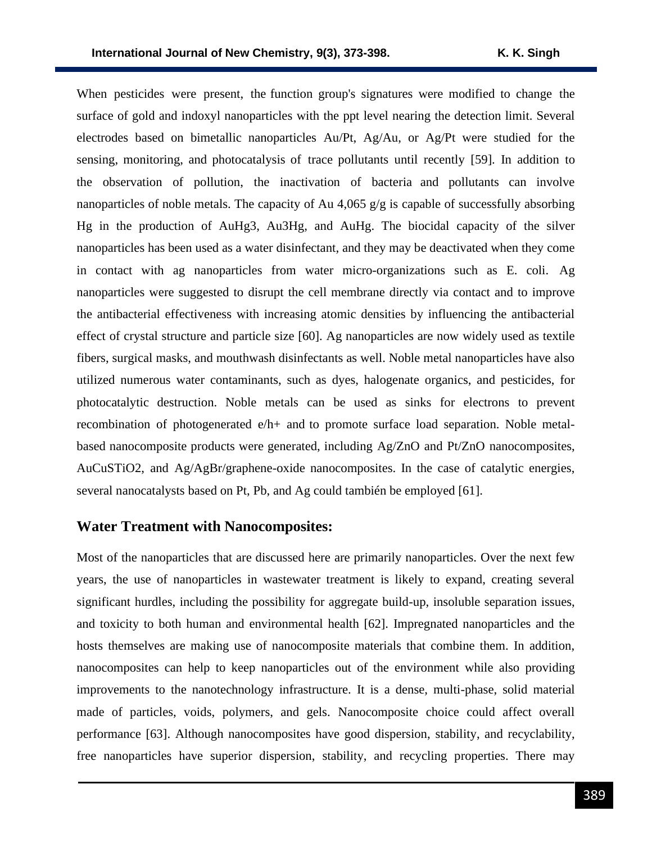When pesticides were present, the function group's signatures were modified to change the surface of gold and indoxyl nanoparticles with the ppt level nearing the detection limit. Several electrodes based on bimetallic nanoparticles Au/Pt, Ag/Au, or Ag/Pt were studied for the sensing, monitoring, and photocatalysis of trace pollutants until recently [59]. In addition to the observation of pollution, the inactivation of bacteria and pollutants can involve nanoparticles of noble metals. The capacity of Au 4,065  $g/g$  is capable of successfully absorbing Hg in the production of AuHg3, Au3Hg, and AuHg. The biocidal capacity of the silver nanoparticles has been used as a water disinfectant, and they may be deactivated when they come in contact with ag nanoparticles from water micro-organizations such as E. coli. Ag nanoparticles were suggested to disrupt the cell membrane directly via contact and to improve the antibacterial effectiveness with increasing atomic densities by influencing the antibacterial effect of crystal structure and particle size [60]. Ag nanoparticles are now widely used as textile fibers, surgical masks, and mouthwash disinfectants as well. Noble metal nanoparticles have also utilized numerous water contaminants, such as dyes, halogenate organics, and pesticides, for photocatalytic destruction. Noble metals can be used as sinks for electrons to prevent recombination of photogenerated e/h+ and to promote surface load separation. Noble metalbased nanocomposite products were generated, including Ag/ZnO and Pt/ZnO nanocomposites, AuCuSTiO2, and Ag/AgBr/graphene-oxide nanocomposites. In the case of catalytic energies, several nanocatalysts based on Pt, Pb, and Ag could también be employed [61].

### **Water Treatment with Nanocomposites:**

Most of the nanoparticles that are discussed here are primarily nanoparticles. Over the next few years, the use of nanoparticles in wastewater treatment is likely to expand, creating several significant hurdles, including the possibility for aggregate build-up, insoluble separation issues, and toxicity to both human and environmental health [62]. Impregnated nanoparticles and the hosts themselves are making use of nanocomposite materials that combine them. In addition, nanocomposites can help to keep nanoparticles out of the environment while also providing improvements to the nanotechnology infrastructure. It is a dense, multi-phase, solid material made of particles, voids, polymers, and gels. Nanocomposite choice could affect overall performance [63]. Although nanocomposites have good dispersion, stability, and recyclability, free nanoparticles have superior dispersion, stability, and recycling properties. There may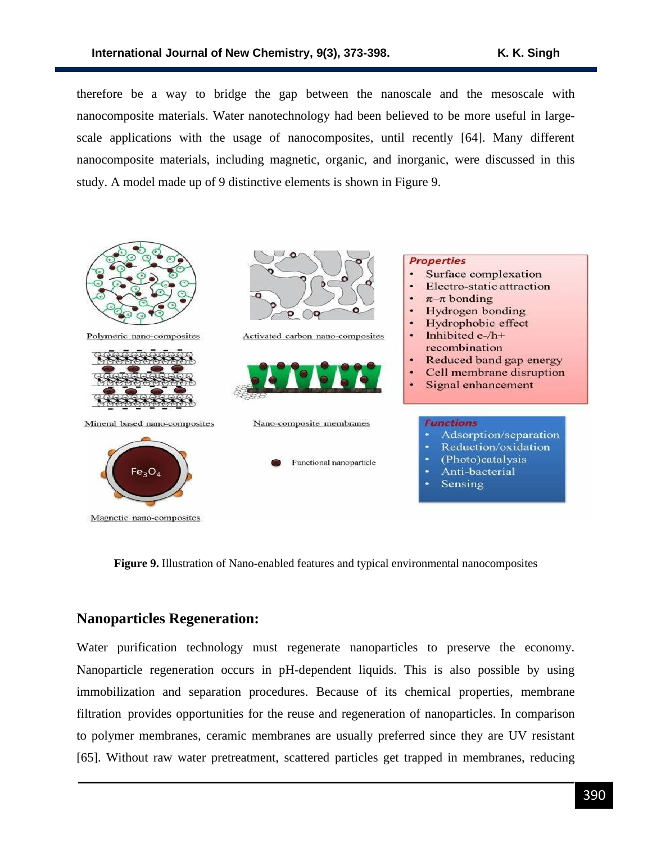therefore be a way to bridge the gap between the nanoscale and the mesoscale with nanocomposite materials. Water nanotechnology had been believed to be more useful in largescale applications with the usage of nanocomposites, until recently [64]. Many different nanocomposite materials, including magnetic, organic, and inorganic, were discussed in this study. A model made up of 9 distinctive elements is shown in Figure 9.



**Figure 9.** Illustration of Nano-enabled features and typical environmental nanocomposites

#### **Nanoparticles Regeneration:**

Water purification technology must regenerate nanoparticles to preserve the economy. Nanoparticle regeneration occurs in pH-dependent liquids. This is also possible by using immobilization and separation procedures. Because of its chemical properties, membrane filtration provides opportunities for the reuse and regeneration of nanoparticles. In comparison to polymer membranes, ceramic membranes are usually preferred since they are UV resistant [65]. Without raw water pretreatment, scattered particles get trapped in membranes, reducing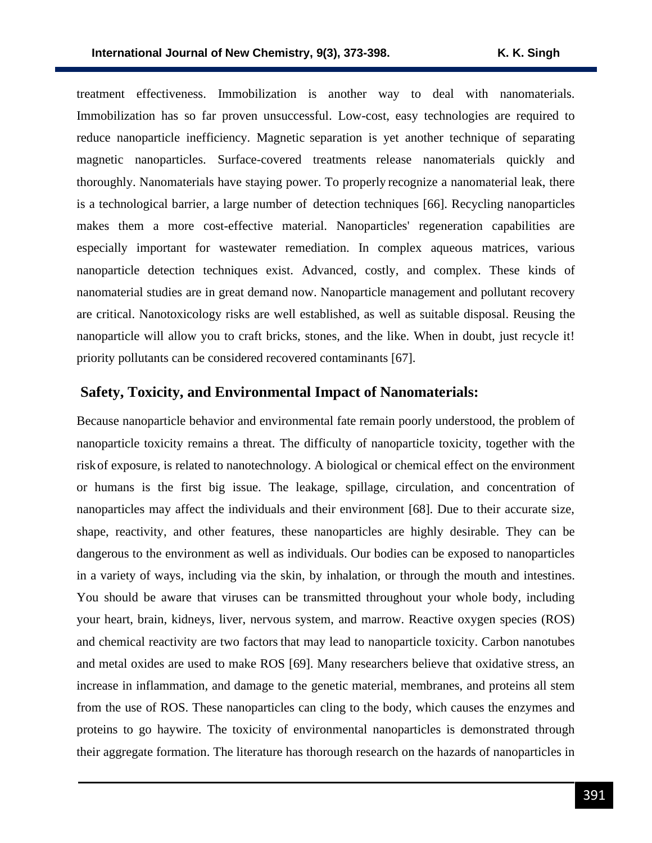treatment effectiveness. Immobilization is another way to deal with nanomaterials. Immobilization has so far proven unsuccessful. Low-cost, easy technologies are required to reduce nanoparticle inefficiency. Magnetic separation is yet another technique of separating magnetic nanoparticles. Surface-covered treatments release nanomaterials quickly and thoroughly. Nanomaterials have staying power. To properly recognize a nanomaterial leak, there is a technological barrier, a large number of detection techniques [66]. Recycling nanoparticles makes them a more cost-effective material. Nanoparticles' regeneration capabilities are especially important for wastewater remediation. In complex aqueous matrices, various nanoparticle detection techniques exist. Advanced, costly, and complex. These kinds of nanomaterial studies are in great demand now. Nanoparticle management and pollutant recovery are critical. Nanotoxicology risks are well established, as well as suitable disposal. Reusing the nanoparticle will allow you to craft bricks, stones, and the like. When in doubt, just recycle it! priority pollutants can be considered recovered contaminants [67].

### **Safety, Toxicity, and Environmental Impact of Nanomaterials:**

Because nanoparticle behavior and environmental fate remain poorly understood, the problem of nanoparticle toxicity remains a threat. The difficulty of nanoparticle toxicity, together with the riskof exposure, is related to nanotechnology. A biological or chemical effect on the environment or humans is the first big issue. The leakage, spillage, circulation, and concentration of nanoparticles may affect the individuals and their environment [68]. Due to their accurate size, shape, reactivity, and other features, these nanoparticles are highly desirable. They can be dangerous to the environment as well as individuals. Our bodies can be exposed to nanoparticles in a variety of ways, including via the skin, by inhalation, or through the mouth and intestines. You should be aware that viruses can be transmitted throughout your whole body, including your heart, brain, kidneys, liver, nervous system, and marrow. Reactive oxygen species (ROS) and chemical reactivity are two factors that may lead to nanoparticle toxicity. Carbon nanotubes and metal oxides are used to make ROS [69]. Many researchers believe that oxidative stress, an increase in inflammation, and damage to the genetic material, membranes, and proteins all stem from the use of ROS. These nanoparticles can cling to the body, which causes the enzymes and proteins to go haywire. The toxicity of environmental nanoparticles is demonstrated through their aggregate formation. The literature has thorough research on the hazards of nanoparticles in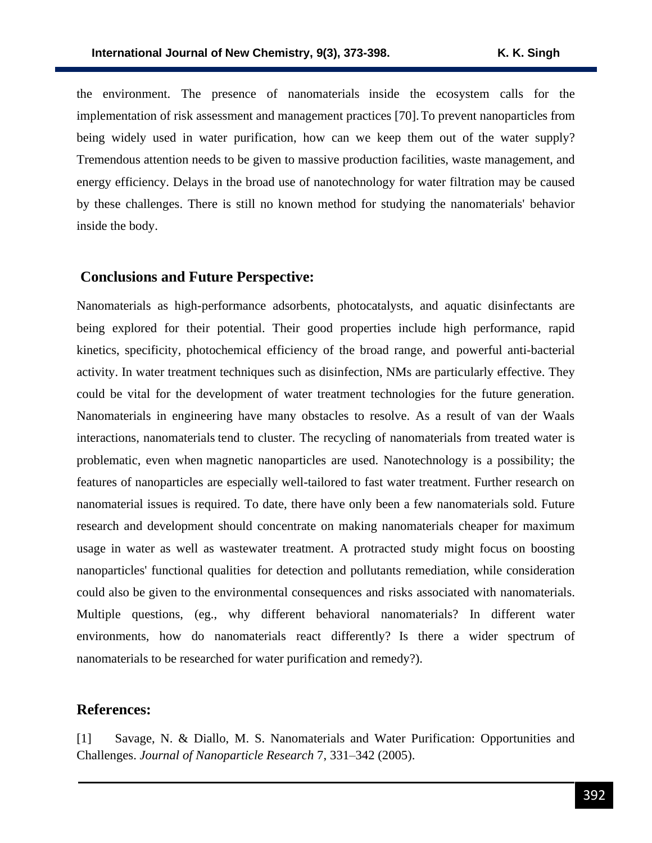the environment. The presence of nanomaterials inside the ecosystem calls for the implementation of risk assessment and management practices [70].To prevent nanoparticles from being widely used in water purification, how can we keep them out of the water supply? Tremendous attention needs to be given to massive production facilities, waste management, and energy efficiency. Delays in the broad use of nanotechnology for water filtration may be caused by these challenges. There is still no known method for studying the nanomaterials' behavior inside the body.

### **Conclusions and Future Perspective:**

Nanomaterials as high-performance adsorbents, photocatalysts, and aquatic disinfectants are being explored for their potential. Their good properties include high performance, rapid kinetics, specificity, photochemical efficiency of the broad range, and powerful anti-bacterial activity. In water treatment techniques such as disinfection, NMs are particularly effective. They could be vital for the development of water treatment technologies for the future generation. Nanomaterials in engineering have many obstacles to resolve. As a result of van der Waals interactions, nanomaterials tend to cluster. The recycling of nanomaterials from treated water is problematic, even when magnetic nanoparticles are used. Nanotechnology is a possibility; the features of nanoparticles are especially well-tailored to fast water treatment. Further research on nanomaterial issues is required. To date, there have only been a few nanomaterials sold. Future research and development should concentrate on making nanomaterials cheaper for maximum usage in water as well as wastewater treatment. A protracted study might focus on boosting nanoparticles' functional qualities for detection and pollutants remediation, while consideration could also be given to the environmental consequences and risks associated with nanomaterials. Multiple questions, (eg., why different behavioral nanomaterials? In different water environments, how do nanomaterials react differently? Is there a wider spectrum of nanomaterials to be researched for water purification and remedy?).

### **References:**

[1] Savage, N. & Diallo, M. S. Nanomaterials and Water Purification: Opportunities and Challenges. *Journal of Nanoparticle Research* 7, 331–342 (2005).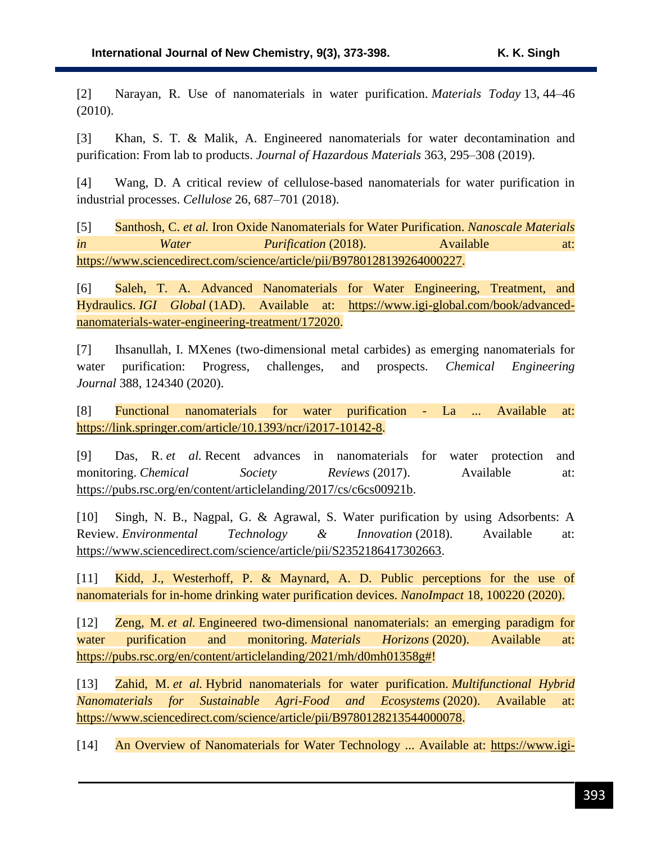[2] Narayan, R. Use of nanomaterials in water purification. *Materials Today* 13, 44–46 (2010).

[3] Khan, S. T. & Malik, A. Engineered nanomaterials for water decontamination and purification: From lab to products. *Journal of Hazardous Materials* 363, 295–308 (2019).

[4] Wang, D. A critical review of cellulose-based nanomaterials for water purification in industrial processes. *Cellulose* 26, 687–701 (2018).

[5] Santhosh, C. *et al.* Iron Oxide Nanomaterials for Water Purification. *Nanoscale Materials in Water Purification* (2018). Available at: [https://www.sciencedirect.com/science/article/pii/B9780128139264000227.](https://www.sciencedirect.com/science/article/pii/B9780128139264000227)

[6] Saleh, T. A. Advanced Nanomaterials for Water Engineering, Treatment, and Hydraulics. *IGI Global* (1AD). Available at: [https://www.igi-global.com/book/advanced](https://www.igi-global.com/book/advanced-nanomaterials-water-engineering-treatment/172020)[nanomaterials-water-engineering-treatment/172020.](https://www.igi-global.com/book/advanced-nanomaterials-water-engineering-treatment/172020)

[7] Ihsanullah, I. MXenes (two-dimensional metal carbides) as emerging nanomaterials for water purification: Progress, challenges, and prospects. *Chemical Engineering Journal* 388, 124340 (2020).

[8] Functional nanomaterials for water purification - La ... Available at: [https://link.springer.com/article/10.1393/ncr/i2017-10142-8.](https://link.springer.com/article/10.1393/ncr/i2017-10142-8)

[9] Das, R. *et al.* Recent advances in nanomaterials for water protection and monitoring. *Chemical* Society Reviews (2017). Available at: [https://pubs.rsc.org/en/content/articlelanding/2017/cs/c6cs00921b.](https://pubs.rsc.org/en/content/articlelanding/2017/cs/c6cs00921b)

[10] Singh, N. B., Nagpal, G. & Agrawal, S. Water purification by using Adsorbents: A Review. *Environmental Technology & Innovation* (2018). Available at: [https://www.sciencedirect.com/science/article/pii/S2352186417302663.](https://www.sciencedirect.com/science/article/pii/S2352186417302663)

[11] Kidd, J., Westerhoff, P. & Maynard, A. D. Public perceptions for the use of nanomaterials for in-home drinking water purification devices. *NanoImpact* 18, 100220 (2020).

[12] Zeng, M. *et al.* Engineered two-dimensional nanomaterials: an emerging paradigm for water purification and monitoring. *Materials Horizons* (2020). Available at: [https://pubs.rsc.org/en/content/articlelanding/2021/mh/d0mh01358g#!](https://pubs.rsc.org/en/content/articlelanding/2021/mh/d0mh01358g)

[13] Zahid, M. *et al.* Hybrid nanomaterials for water purification. *Multifunctional Hybrid Nanomaterials for Sustainable Agri-Food and Ecosystems* (2020). Available at: [https://www.sciencedirect.com/science/article/pii/B9780128213544000078.](https://www.sciencedirect.com/science/article/pii/B9780128213544000078)

[14] An Overview of Nanomaterials for Water Technology ... Available at: [https://www.igi-](https://www.igi-global.com/chapter/an-overview-of-nanomaterials-for-water-technology/176512)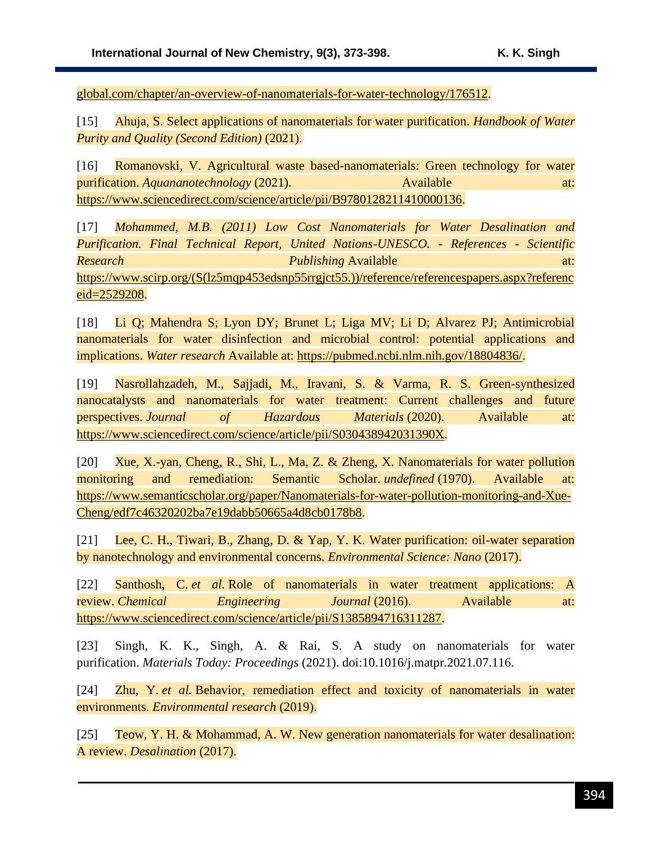[global.com/chapter/an-overview-of-nanomaterials-for-water-technology/176512.](https://www.igi-global.com/chapter/an-overview-of-nanomaterials-for-water-technology/176512)

[15] Ahuja, S. Select applications of nanomaterials for water purification. *Handbook of Water Purity and Quality (Second Edition)* (2021).

[16] Romanovski, V. Agricultural waste based-nanomaterials: Green technology for water purification. *Aquananotechnology* (2021). Available at: [https://www.sciencedirect.com/science/article/pii/B9780128211410000136.](https://www.sciencedirect.com/science/article/pii/B9780128211410000136)

[17] *Mohammed, M.B. (2011) Low Cost Nanomaterials for Water Desalination and Purification. Final Technical Report, United Nations-UNESCO. - References - Scientific Research* and at: *Publishing* Available at: *at: at:* [https://www.scirp.org/\(S\(lz5mqp453edsnp55rrgjct55.\)\)/reference/referencespapers.aspx?referenc](https://www.scirp.org/(S(lz5mqp453edsnp55rrgjct55.))/reference/referencespapers.aspx?referenceid=2529208) [eid=2529208.](https://www.scirp.org/(S(lz5mqp453edsnp55rrgjct55.))/reference/referencespapers.aspx?referenceid=2529208)

[18] Li Q; Mahendra S; Lyon DY; Brunet L; Liga MV; Li D; Alvarez PJ; Antimicrobial nanomaterials for water disinfection and microbial control: potential applications and implications. *Water research* Available at: [https://pubmed.ncbi.nlm.nih.gov/18804836/.](https://pubmed.ncbi.nlm.nih.gov/18804836/)

[19] Nasrollahzadeh, M., Sajjadi, M., Iravani, S. & Varma, R. S. Green-synthesized nanocatalysts and nanomaterials for water treatment: Current challenges and future perspectives. *Journal of Hazardous Materials* (2020). Available at: [https://www.sciencedirect.com/science/article/pii/S030438942031390X.](https://www.sciencedirect.com/science/article/pii/S030438942031390X)

[20] Xue, X.-yan, Cheng, R., Shi, L., Ma, Z. & Zheng, X. Nanomaterials for water pollution monitoring and remediation: Semantic Scholar. *undefined* (1970). Available at: [https://www.semanticscholar.org/paper/Nanomaterials-for-water-pollution-monitoring-and-Xue-](https://www.semanticscholar.org/paper/Nanomaterials-for-water-pollution-monitoring-and-Xue-Cheng/edf7c46320202ba7e19dabb50665a4d8cb0178b8)[Cheng/edf7c46320202ba7e19dabb50665a4d8cb0178b8.](https://www.semanticscholar.org/paper/Nanomaterials-for-water-pollution-monitoring-and-Xue-Cheng/edf7c46320202ba7e19dabb50665a4d8cb0178b8)

[21] Lee, C. H., Tiwari, B., Zhang, D. & Yap, Y. K. Water purification: oil-water separation by nanotechnology and environmental concerns. *Environmental Science: Nano* (2017).

[22] Santhosh, C. *et al.* Role of nanomaterials in water treatment applications: A review. *Chemical Engineering Journal* (2016). Available at: [https://www.sciencedirect.com/science/article/pii/S1385894716311287.](https://www.sciencedirect.com/science/article/pii/S1385894716311287)

[23] Singh, K. K., Singh, A. & Rai, S. A study on nanomaterials for water purification. *Materials Today: Proceedings* (2021). doi:10.1016/j.matpr.2021.07.116.

[24] Zhu, Y. *et al.* Behavior, remediation effect and toxicity of nanomaterials in water environments. *Environmental research* (2019).

[25] Teow, Y. H. & Mohammad, A. W. New generation nanomaterials for water desalination: A review. *Desalination* (2017).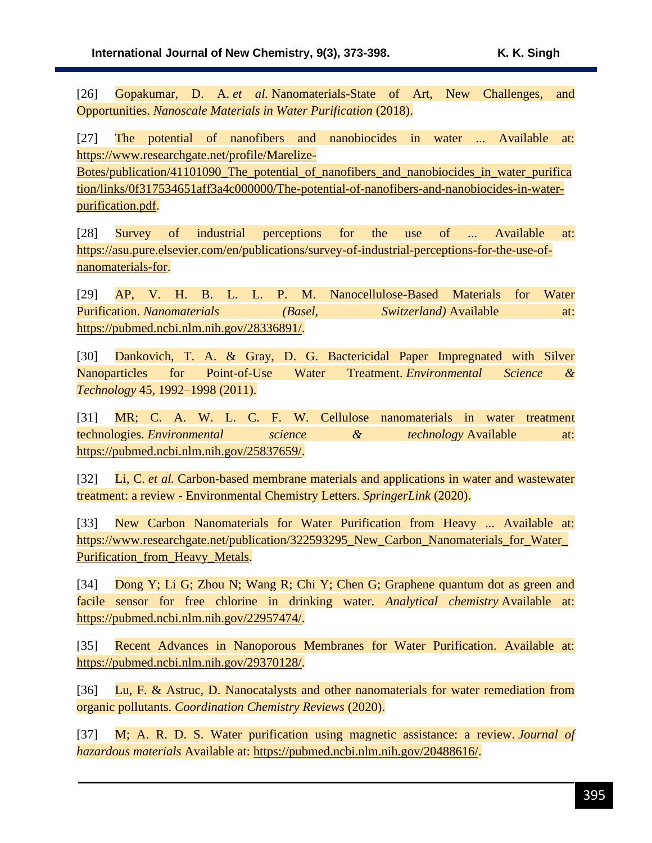[26] Gopakumar, D. A. *et al.* Nanomaterials-State of Art, New Challenges, and Opportunities. *Nanoscale Materials in Water Purification* (2018).

[27] The potential of nanofibers and nanobiocides in water ... Available at: [https://www.researchgate.net/profile/Marelize-](https://www.researchgate.net/profile/Marelize-Botes/publication/41101090_The_potential_of_nanofibers_and_nanobiocides_in_water_purification/links/0f317534651aff3a4c000000/The-potential-of-nanofibers-and-nanobiocides-in-water-purification.pdf)

[Botes/publication/41101090\\_The\\_potential\\_of\\_nanofibers\\_and\\_nanobiocides\\_in\\_water\\_purifica](https://www.researchgate.net/profile/Marelize-Botes/publication/41101090_The_potential_of_nanofibers_and_nanobiocides_in_water_purification/links/0f317534651aff3a4c000000/The-potential-of-nanofibers-and-nanobiocides-in-water-purification.pdf) [tion/links/0f317534651aff3a4c000000/The-potential-of-nanofibers-and-nanobiocides-in-water](https://www.researchgate.net/profile/Marelize-Botes/publication/41101090_The_potential_of_nanofibers_and_nanobiocides_in_water_purification/links/0f317534651aff3a4c000000/The-potential-of-nanofibers-and-nanobiocides-in-water-purification.pdf)[purification.pdf.](https://www.researchgate.net/profile/Marelize-Botes/publication/41101090_The_potential_of_nanofibers_and_nanobiocides_in_water_purification/links/0f317534651aff3a4c000000/The-potential-of-nanofibers-and-nanobiocides-in-water-purification.pdf)

[28] Survey of industrial perceptions for the use of ... Available at: [https://asu.pure.elsevier.com/en/publications/survey-of-industrial-perceptions-for-the-use-of](https://asu.pure.elsevier.com/en/publications/survey-of-industrial-perceptions-for-the-use-of-nanomaterials-for)[nanomaterials-for.](https://asu.pure.elsevier.com/en/publications/survey-of-industrial-perceptions-for-the-use-of-nanomaterials-for)

[29] AP, V. H. B. L. L. P. M. Nanocellulose-Based Materials for Water Purification. *Nanomaterials (Basel, Switzerland)* Available at: [https://pubmed.ncbi.nlm.nih.gov/28336891/.](https://pubmed.ncbi.nlm.nih.gov/28336891/)

[30] Dankovich, T. A. & Gray, D. G. Bactericidal Paper Impregnated with Silver Nanoparticles for Point-of-Use Water Treatment. *Environmental Science & Technology* 45, 1992–1998 (2011).

[31] MR; C. A. W. L. C. F. W. Cellulose nanomaterials in water treatment technologies. *Environmental science & technology* Available at: [https://pubmed.ncbi.nlm.nih.gov/25837659/.](https://pubmed.ncbi.nlm.nih.gov/25837659/)

[32] Li, C. *et al.* Carbon-based membrane materials and applications in water and wastewater treatment: a review - Environmental Chemistry Letters. *SpringerLink* (2020).

[33] New Carbon Nanomaterials for Water Purification from Heavy ... Available at: [https://www.researchgate.net/publication/322593295\\_New\\_Carbon\\_Nanomaterials\\_for\\_Water\\_](https://www.researchgate.net/publication/322593295_New_Carbon_Nanomaterials_for_Water_Purification_from_Heavy_Metals) Purification from Heavy Metals.

[34] Dong Y; Li G; Zhou N; Wang R; Chi Y; Chen G; Graphene quantum dot as green and facile sensor for free chlorine in drinking water. *Analytical chemistry* Available at: [https://pubmed.ncbi.nlm.nih.gov/22957474/.](https://pubmed.ncbi.nlm.nih.gov/22957474/)

[35] Recent Advances in Nanoporous Membranes for Water Purification. Available at: [https://pubmed.ncbi.nlm.nih.gov/29370128/.](https://pubmed.ncbi.nlm.nih.gov/29370128/)

[36] Lu, F. & Astruc, D. Nanocatalysts and other nanomaterials for water remediation from organic pollutants. *Coordination Chemistry Reviews* (2020).

[37] M; A. R. D. S. Water purification using magnetic assistance: a review. *Journal of hazardous materials* Available at: [https://pubmed.ncbi.nlm.nih.gov/20488616/.](https://pubmed.ncbi.nlm.nih.gov/20488616/)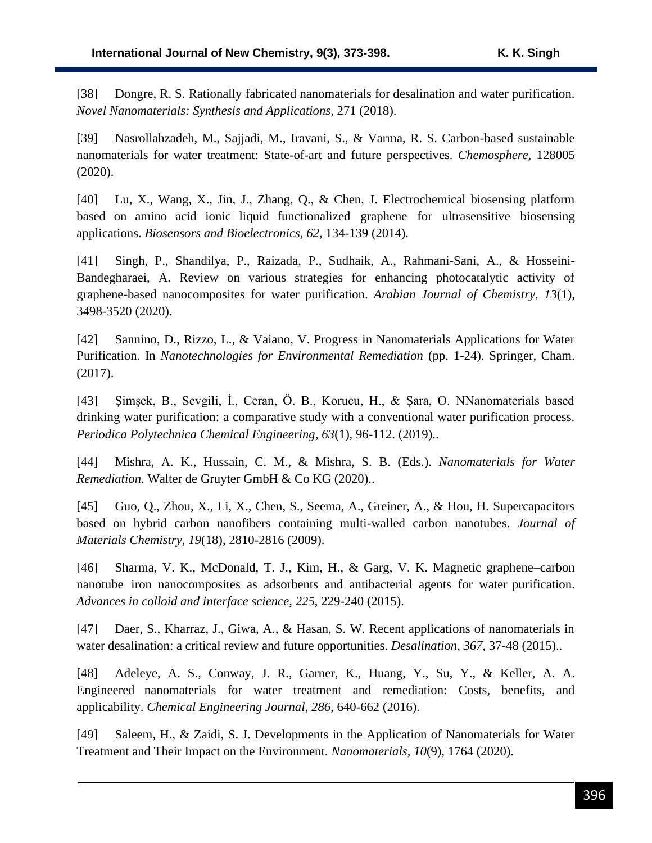[38] Dongre, R. S. Rationally fabricated nanomaterials for desalination and water purification. *Novel Nanomaterials: Synthesis and Applications*, 271 (2018).

[39] Nasrollahzadeh, M., Sajjadi, M., Iravani, S., & Varma, R. S. Carbon-based sustainable nanomaterials for water treatment: State-of-art and future perspectives. *Chemosphere*, 128005 (2020).

[40] Lu, X., Wang, X., Jin, J., Zhang, Q., & Chen, J. Electrochemical biosensing platform based on amino acid ionic liquid functionalized graphene for ultrasensitive biosensing applications. *Biosensors and Bioelectronics*, *62*, 134-139 (2014).

[41] Singh, P., Shandilya, P., Raizada, P., Sudhaik, A., Rahmani-Sani, A., & Hosseini-Bandegharaei, A. Review on various strategies for enhancing photocatalytic activity of graphene-based nanocomposites for water purification. *Arabian Journal of Chemistry*, *13*(1), 3498-3520 (2020).

[42] Sannino, D., Rizzo, L., & Vaiano, V. Progress in Nanomaterials Applications for Water Purification. In *Nanotechnologies for Environmental Remediation* (pp. 1-24). Springer, Cham. (2017).

[43] Şimşek, B., Sevgili, İ., Ceran, Ö. B., Korucu, H., & Şara, O. NNanomaterials based drinking water purification: a comparative study with a conventional water purification process. *Periodica Polytechnica Chemical Engineering*, *63*(1), 96-112. (2019)..

[44] Mishra, A. K., Hussain, C. M., & Mishra, S. B. (Eds.). *Nanomaterials for Water Remediation*. Walter de Gruyter GmbH & Co KG (2020)..

[45] Guo, Q., Zhou, X., Li, X., Chen, S., Seema, A., Greiner, A., & Hou, H. Supercapacitors based on hybrid carbon nanofibers containing multi-walled carbon nanotubes. *Journal of Materials Chemistry*, *19*(18), 2810-2816 (2009).

[46] Sharma, V. K., McDonald, T. J., Kim, H., & Garg, V. K. Magnetic graphene–carbon nanotube iron nanocomposites as adsorbents and antibacterial agents for water purification. *Advances in colloid and interface science*, *225*, 229-240 (2015).

[47] Daer, S., Kharraz, J., Giwa, A., & Hasan, S. W. Recent applications of nanomaterials in water desalination: a critical review and future opportunities. *Desalination*, *367*, 37-48 (2015)..

[48] Adeleye, A. S., Conway, J. R., Garner, K., Huang, Y., Su, Y., & Keller, A. A. Engineered nanomaterials for water treatment and remediation: Costs, benefits, and applicability. *Chemical Engineering Journal*, *286*, 640-662 (2016).

[49] Saleem, H., & Zaidi, S. J. Developments in the Application of Nanomaterials for Water Treatment and Their Impact on the Environment. *Nanomaterials*, *10*(9), 1764 (2020).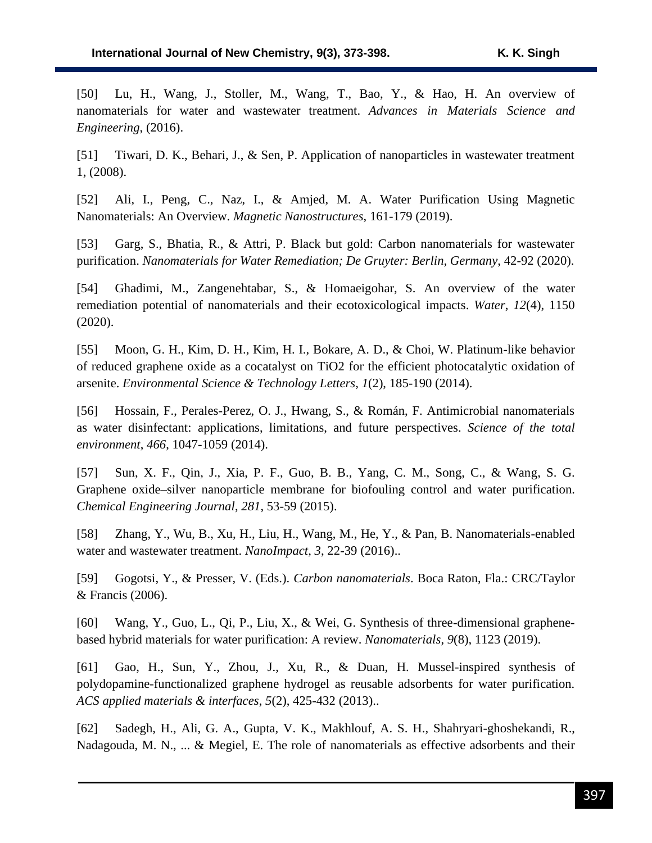[50] Lu, H., Wang, J., Stoller, M., Wang, T., Bao, Y., & Hao, H. An overview of nanomaterials for water and wastewater treatment. *Advances in Materials Science and Engineering*, (2016).

[51] Tiwari, D. K., Behari, J., & Sen, P. Application of nanoparticles in wastewater treatment 1, (2008).

[52] Ali, I., Peng, C., Naz, I., & Amjed, M. A. Water Purification Using Magnetic Nanomaterials: An Overview. *Magnetic Nanostructures*, 161-179 (2019).

[53] Garg, S., Bhatia, R., & Attri, P. Black but gold: Carbon nanomaterials for wastewater purification. *Nanomaterials for Water Remediation; De Gruyter: Berlin, Germany*, 42-92 (2020).

[54] Ghadimi, M., Zangenehtabar, S., & Homaeigohar, S. An overview of the water remediation potential of nanomaterials and their ecotoxicological impacts. *Water*, *12*(4), 1150 (2020).

[55] Moon, G. H., Kim, D. H., Kim, H. I., Bokare, A. D., & Choi, W. Platinum-like behavior of reduced graphene oxide as a cocatalyst on TiO2 for the efficient photocatalytic oxidation of arsenite. *Environmental Science & Technology Letters*, *1*(2), 185-190 (2014).

[56] Hossain, F., Perales-Perez, O. J., Hwang, S., & Román, F. Antimicrobial nanomaterials as water disinfectant: applications, limitations, and future perspectives. *Science of the total environment*, *466*, 1047-1059 (2014).

[57] Sun, X. F., Qin, J., Xia, P. F., Guo, B. B., Yang, C. M., Song, C., & Wang, S. G. Graphene oxide–silver nanoparticle membrane for biofouling control and water purification. *Chemical Engineering Journal*, *281*, 53-59 (2015).

[58] Zhang, Y., Wu, B., Xu, H., Liu, H., Wang, M., He, Y., & Pan, B. Nanomaterials-enabled water and wastewater treatment. *NanoImpact*, *3*, 22-39 (2016)..

[59] Gogotsi, Y., & Presser, V. (Eds.). *Carbon nanomaterials*. Boca Raton, Fla.: CRC/Taylor & Francis (2006).

[60] Wang, Y., Guo, L., Qi, P., Liu, X., & Wei, G. Synthesis of three-dimensional graphenebased hybrid materials for water purification: A review. *Nanomaterials*, *9*(8), 1123 (2019).

[61] Gao, H., Sun, Y., Zhou, J., Xu, R., & Duan, H. Mussel-inspired synthesis of polydopamine-functionalized graphene hydrogel as reusable adsorbents for water purification. *ACS applied materials & interfaces*, *5*(2), 425-432 (2013)..

[62] Sadegh, H., Ali, G. A., Gupta, V. K., Makhlouf, A. S. H., Shahryari-ghoshekandi, R., Nadagouda, M. N., ... & Megiel, E. The role of nanomaterials as effective adsorbents and their